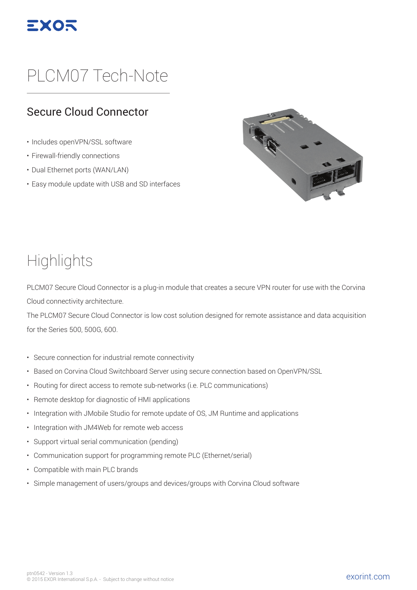

# PLCM07 Tech-Note

#### Secure Cloud Connector

- Includes openVPN/SSL software
- Firewall-friendly connections
- Dual Ethernet ports (WAN/LAN)
- Easy module update with USB and SD interfaces



### **Highlights**

PLCM07 Secure Cloud Connector is a plug-in module that creates a secure VPN router for use with the Corvina Cloud connectivity architecture.

The PLCM07 Secure Cloud Connector is low cost solution designed for remote assistance and data acquisition for the Series 500, 500G, 600.

- Secure connection for industrial remote connectivity
- Based on Corvina Cloud Switchboard Server using secure connection based on OpenVPN/SSL
- Routing for direct access to remote sub-networks (i.e. PLC communications)
- Remote desktop for diagnostic of HMI applications
- Integration with JMobile Studio for remote update of OS, JM Runtime and applications
- Integration with JM4Web for remote web access
- Support virtual serial communication (pending)
- Communication support for programming remote PLC (Ethernet/serial)
- Compatible with main PLC brands
- Simple management of users/groups and devices/groups with Corvina Cloud software